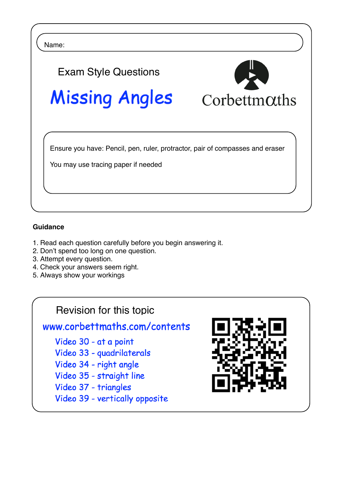

## **Guidance**

- 1. Read each question carefully before you begin answering it.
- 2. Don't spend too long on one question.
- 3. Attempt every question.
- 4. Check your answers seem right.
- 5. Always show your workings

## Revision for this topic

www.corbettmaths.com/contents

Video 30 - at a point

- Video 33 quadrilaterals
- Video 34 right angle
- Video 35 straight line
- Video 37 triangles
- Video 39 vertically opposite

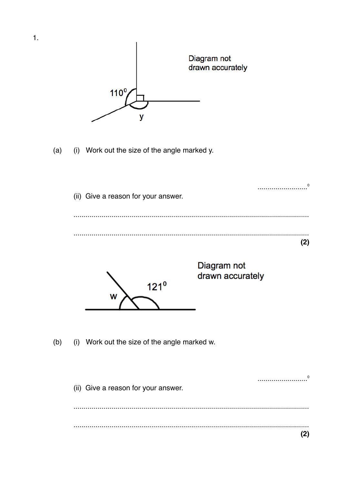

 $(2)$ 

 $\mathbf{1}$ .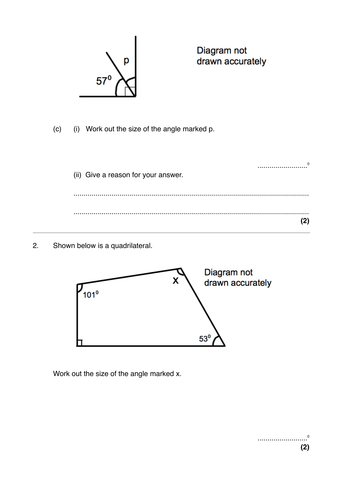

Diagram not drawn accurately

(i) Work out the size of the angle marked p.  $(c)$ 

|       | <br>(ii) Give a reason for your answer. |  |
|-------|-----------------------------------------|--|
| .<br> |                                         |  |
|       |                                         |  |

Shown below is a quadrilateral.  $2.$ 



Work out the size of the angle marked x.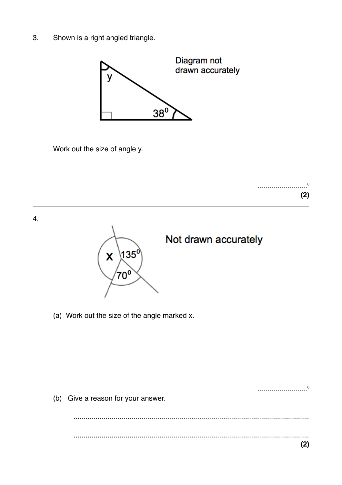Shown is a right angled triangle.  $3.$ 



Work out the size of angle y.





(a) Work out the size of the angle marked x.

| $\Omega$<br>                       |
|------------------------------------|
| (b) Give a reason for your answer. |
|                                    |
|                                    |
|                                    |
| .                                  |
|                                    |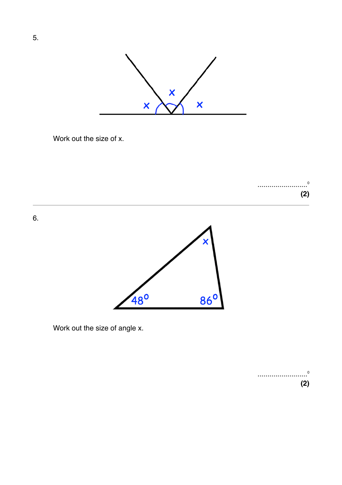

Work out the size of x.

.........................⁰ **(2)**

6.



Work out the size of angle x.

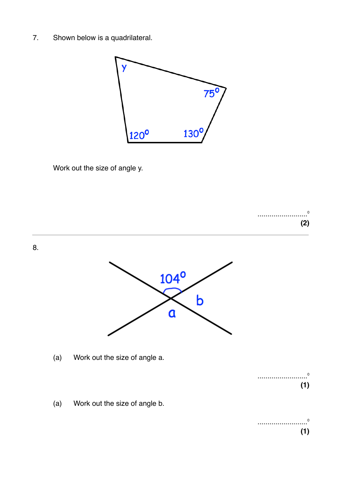7. Shown below is a quadrilateral.



Work out the size of angle y.

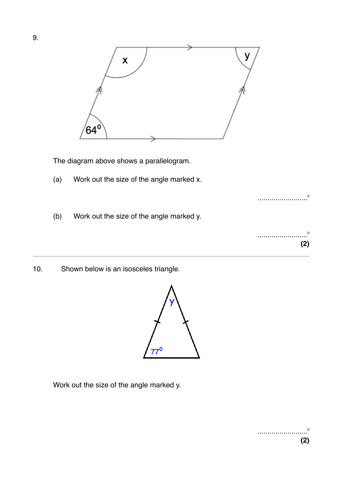

The diagram above shows a parallelogram.

- (a) Work out the size of the angle marked x.
- (b) Work out the size of the angle marked y.
- 10. Shown below is an isosceles triangle.



Work out the size of the angle marked y.

.........................⁰

.........................⁰

**(2)**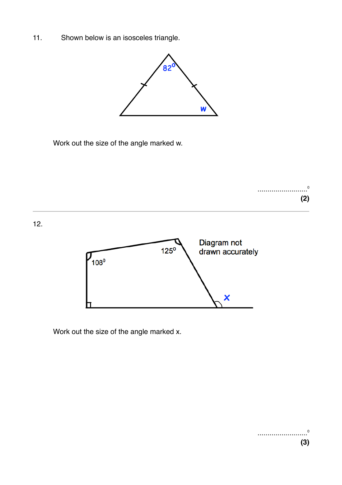11. Shown below is an isosceles triangle.



Work out the size of the angle marked w.



Work out the size of the angle marked x.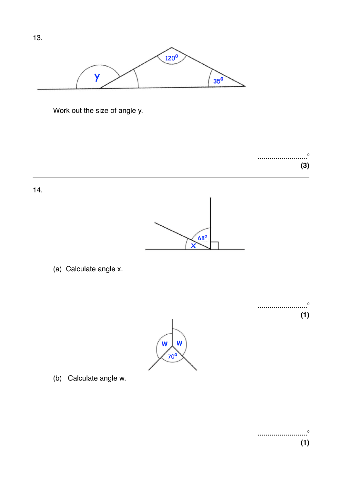

Work out the size of angle y.

.........................<sup>0</sup> **(3)**

.........................⁰

**(1)**

14.



(a) Calculate angle x.



(b) Calculate angle w.

.........................⁰ **(1)**

13.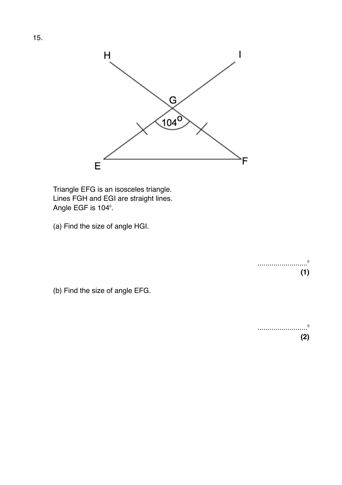

Triangle EFG is an isosceles triangle. Lines FGH and EGI are straight lines. Angle EGF is 104°.

(a) Find the size of angle HGI.

.........................⁰ **(1)**

(b) Find the size of angle EFG.

.........................⁰ **(2)**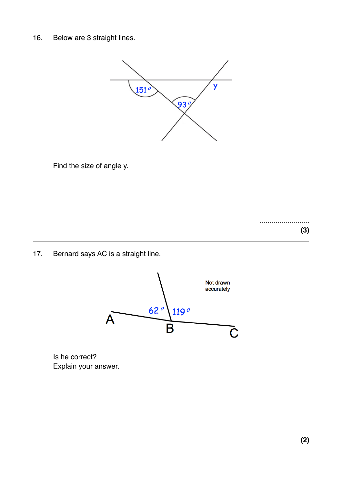16. Below are 3 straight lines.



Find the size of angle y.

......................... **(3)**

17. Bernard says AC is a straight line.



Is he correct? Explain your answer.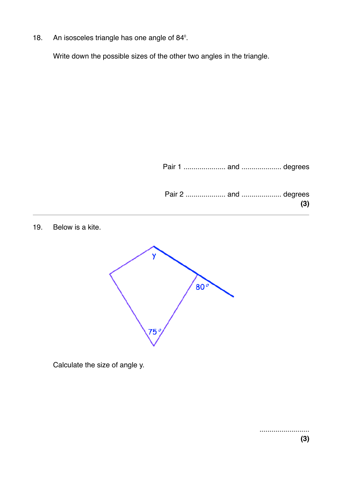18. An isosceles triangle has one angle of 84<sup>°</sup>.

Write down the possible sizes of the other two angles in the triangle.

Pair 1 ..................... and .................... degrees

19. Below is a kite.



Calculate the size of angle y.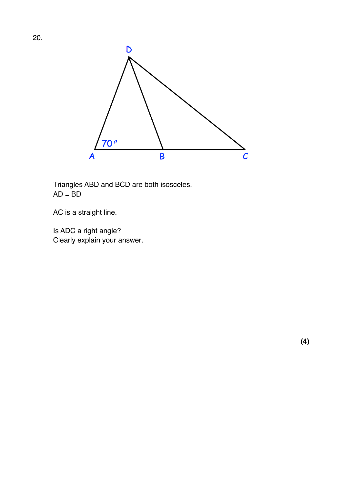

Triangles ABD and BCD are both isosceles.  $AD = BD$ 

AC is a straight line.

Is ADC a right angle? Clearly explain your answer.

**(4)**

20.